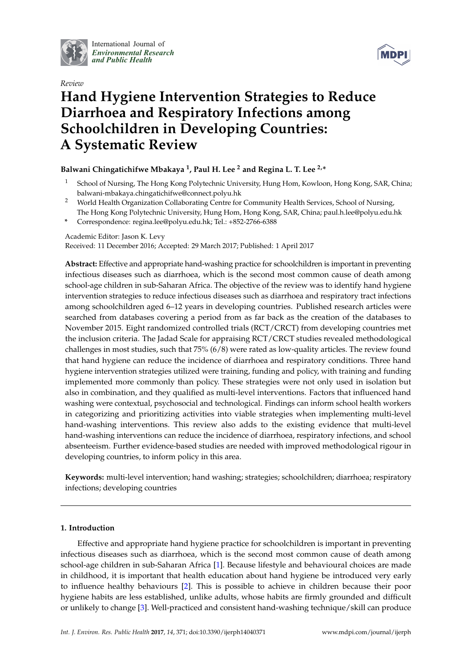

International Journal of *[Environmental Research](http://www.mdpi.com/journal/ijerph) and Public Health*



# *Review* **Hand Hygiene Intervention Strategies to Reduce Diarrhoea and Respiratory Infections among Schoolchildren in Developing Countries: A Systematic Review**

# **Balwani Chingatichifwe Mbakaya <sup>1</sup> , Paul H. Lee <sup>2</sup> and Regina L. T. Lee 2,\***

- <sup>1</sup> School of Nursing, The Hong Kong Polytechnic University, Hung Hom, Kowloon, Hong Kong, SAR, China; balwani-mbakaya.chingatichifwe@connect.polyu.hk
- <sup>2</sup> World Health Organization Collaborating Centre for Community Health Services, School of Nursing, The Hong Kong Polytechnic University, Hung Hom, Hong Kong, SAR, China; paul.h.lee@polyu.edu.hk
- **\*** Correspondence: regina.lee@polyu.edu.hk; Tel.: +852-2766-6388

Academic Editor: Jason K. Levy

Received: 11 December 2016; Accepted: 29 March 2017; Published: 1 April 2017

**Abstract:** Effective and appropriate hand-washing practice for schoolchildren is important in preventing infectious diseases such as diarrhoea, which is the second most common cause of death among school-age children in sub-Saharan Africa. The objective of the review was to identify hand hygiene intervention strategies to reduce infectious diseases such as diarrhoea and respiratory tract infections among schoolchildren aged 6–12 years in developing countries. Published research articles were searched from databases covering a period from as far back as the creation of the databases to November 2015. Eight randomized controlled trials (RCT/CRCT) from developing countries met the inclusion criteria. The Jadad Scale for appraising RCT/CRCT studies revealed methodological challenges in most studies, such that 75% (6/8) were rated as low-quality articles. The review found that hand hygiene can reduce the incidence of diarrhoea and respiratory conditions. Three hand hygiene intervention strategies utilized were training, funding and policy, with training and funding implemented more commonly than policy. These strategies were not only used in isolation but also in combination, and they qualified as multi-level interventions. Factors that influenced hand washing were contextual, psychosocial and technological. Findings can inform school health workers in categorizing and prioritizing activities into viable strategies when implementing multi-level hand-washing interventions. This review also adds to the existing evidence that multi-level hand-washing interventions can reduce the incidence of diarrhoea, respiratory infections, and school absenteeism. Further evidence-based studies are needed with improved methodological rigour in developing countries, to inform policy in this area.

**Keywords:** multi-level intervention; hand washing; strategies; schoolchildren; diarrhoea; respiratory infections; developing countries

# **1. Introduction**

Effective and appropriate hand hygiene practice for schoolchildren is important in preventing infectious diseases such as diarrhoea, which is the second most common cause of death among school-age children in sub-Saharan Africa [\[1\]](#page-12-0). Because lifestyle and behavioural choices are made in childhood, it is important that health education about hand hygiene be introduced very early to influence healthy behaviours [\[2\]](#page-12-1). This is possible to achieve in children because their poor hygiene habits are less established, unlike adults, whose habits are firmly grounded and difficult or unlikely to change [\[3\]](#page-12-2). Well-practiced and consistent hand-washing technique/skill can produce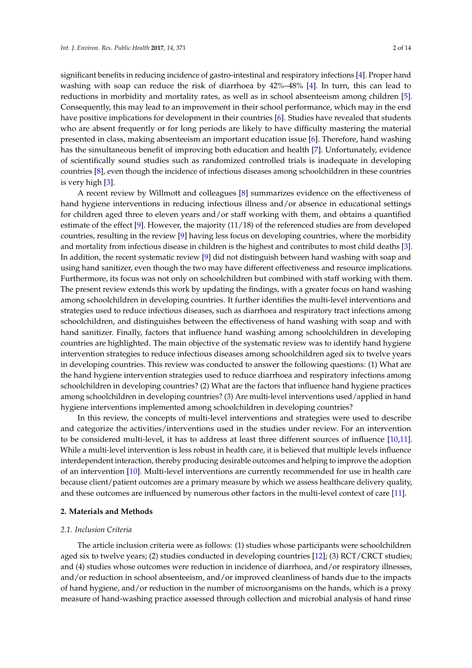significant benefits in reducing incidence of gastro-intestinal and respiratory infections [\[4\]](#page-12-3). Proper hand washing with soap can reduce the risk of diarrhoea by 42%–48% [\[4\]](#page-12-3). In turn, this can lead to reductions in morbidity and mortality rates, as well as in school absenteeism among children [\[5\]](#page-12-4). Consequently, this may lead to an improvement in their school performance, which may in the end have positive implications for development in their countries [\[6\]](#page-12-5). Studies have revealed that students who are absent frequently or for long periods are likely to have difficulty mastering the material presented in class, making absenteeism an important education issue [\[6\]](#page-12-5). Therefore, hand washing has the simultaneous benefit of improving both education and health [\[7\]](#page-12-6). Unfortunately, evidence of scientifically sound studies such as randomized controlled trials is inadequate in developing countries [\[8\]](#page-12-7), even though the incidence of infectious diseases among schoolchildren in these countries is very high [\[3\]](#page-12-2).

A recent review by Willmott and colleagues [\[8\]](#page-12-7) summarizes evidence on the effectiveness of hand hygiene interventions in reducing infectious illness and/or absence in educational settings for children aged three to eleven years and/or staff working with them, and obtains a quantified estimate of the effect [\[9\]](#page-12-8). However, the majority (11/18) of the referenced studies are from developed countries, resulting in the review [\[9\]](#page-12-8) having less focus on developing countries, where the morbidity and mortality from infectious disease in children is the highest and contributes to most child deaths [\[3\]](#page-12-2). In addition, the recent systematic review [\[9\]](#page-12-8) did not distinguish between hand washing with soap and using hand sanitizer, even though the two may have different effectiveness and resource implications. Furthermore, its focus was not only on schoolchildren but combined with staff working with them. The present review extends this work by updating the findings, with a greater focus on hand washing among schoolchildren in developing countries. It further identifies the multi-level interventions and strategies used to reduce infectious diseases, such as diarrhoea and respiratory tract infections among schoolchildren, and distinguishes between the effectiveness of hand washing with soap and with hand sanitizer. Finally, factors that influence hand washing among schoolchildren in developing countries are highlighted. The main objective of the systematic review was to identify hand hygiene intervention strategies to reduce infectious diseases among schoolchildren aged six to twelve years in developing countries. This review was conducted to answer the following questions: (1) What are the hand hygiene intervention strategies used to reduce diarrhoea and respiratory infections among schoolchildren in developing countries? (2) What are the factors that influence hand hygiene practices among schoolchildren in developing countries? (3) Are multi-level interventions used/applied in hand hygiene interventions implemented among schoolchildren in developing countries?

In this review, the concepts of multi-level interventions and strategies were used to describe and categorize the activities/interventions used in the studies under review. For an intervention to be considered multi-level, it has to address at least three different sources of influence [\[10,](#page-12-9)[11\]](#page-12-10). While a multi-level intervention is less robust in health care, it is believed that multiple levels influence interdependent interaction, thereby producing desirable outcomes and helping to improve the adoption of an intervention [\[10\]](#page-12-9). Multi-level interventions are currently recommended for use in health care because client/patient outcomes are a primary measure by which we assess healthcare delivery quality, and these outcomes are influenced by numerous other factors in the multi-level context of care [\[11\]](#page-12-10).

#### **2. Materials and Methods**

#### *2.1. Inclusion Criteria*

The article inclusion criteria were as follows: (1) studies whose participants were schoolchildren aged six to twelve years; (2) studies conducted in developing countries [\[12\]](#page-12-11); (3) RCT/CRCT studies; and (4) studies whose outcomes were reduction in incidence of diarrhoea, and/or respiratory illnesses, and/or reduction in school absenteeism, and/or improved cleanliness of hands due to the impacts of hand hygiene, and/or reduction in the number of microorganisms on the hands, which is a proxy measure of hand-washing practice assessed through collection and microbial analysis of hand rinse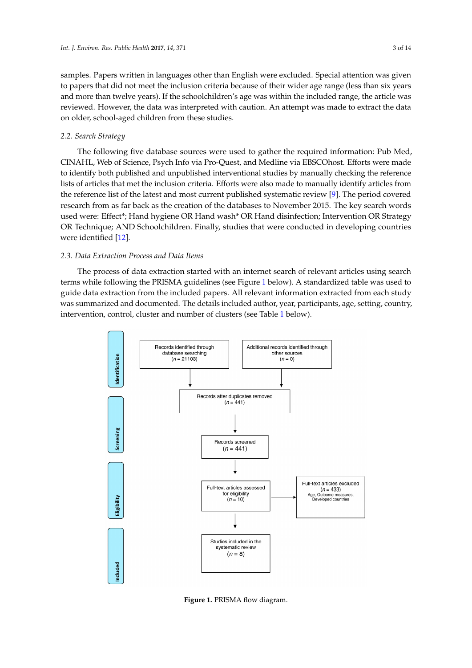samples. Papers written in languages other than English were excluded. Special attention was given to papers that did not meet the inclusion criteria because of their wider age range (less than six years and more than twelve years). If the schoolchildren's age was within the included range, the article was reviewed. However, the data was interpreted with caution. An attempt was made to extract the data on older, school-aged children from these studies.

# *2.2. Search Strategy 2.2. Search Strategy*

The following five database sources were used to gather the required information: Pub Med, The following five database sources were used to gather the required information: Pub Med, CINAHL, Web of Science, Psych Info via Pro-Quest, and Medline via EBSCOhost. Efforts were made CINAHL, Web of Science, Psych Info via Pro-Quest, and Medline via EBSCOhost. Efforts were made to identify both published and unpublished interventional studies by manually checking the reference to identify both published and unpublished interventional studies by manually checking the lists of articles that met the inclusion criteria. Efforts were also made to manually identify articles from the reference list of the latest and most current publish[ed](#page-12-8) systematic review [9]. The period covered research from as far back as the creation of the databases to November 2015. The key search words used were: Effect\*; Hand hygiene OR Hand wash\* OR Hand disinfection; Intervention OR Strategy OR Technique; AND Schoolchildren. Finally, studies that were conducted in developing countries were identified [12].

## *2.3. Data Extraction Process and Data Items 2.3. Data Extraction Process and Data Items*

The process of data extraction started with an internet search of relevant articles using search The process of data extraction started with an internet search of relevant articles using search terms while following the PRISMA guidelines (see Figure 1 below). A standardized table was used to terms while following the PRISMA guidelines (se[e F](#page-2-0)igure 1 below). A standardized table was used guide data extraction from the included papers. All relevant information extracted from each study to guide data extraction from the included papers. All relevant information extracted from each study was summarized and documented. The details included author, year, participants, age, setting, country, was summarized and documented. The details included author, year, participants, age, setting, intervention, control, cl[us](#page-3-0)ter and number of clusters (see Table 1 below).

<span id="page-2-0"></span>

**Figure 1.** PRISMA flow diagram. **Figure 1.** PRISMA flow diagram.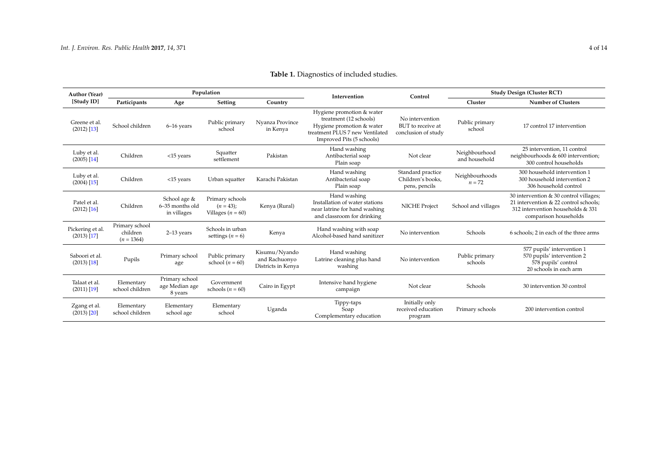<span id="page-3-0"></span>

| <b>Author (Year)</b><br>[Study ID] | Population                                 |                                                |                                                          |                                                      | Intervention                                                                                                                                                                                                    | Control                                                 | <b>Study Design (Cluster RCT)</b> |                                                                                                                                               |
|------------------------------------|--------------------------------------------|------------------------------------------------|----------------------------------------------------------|------------------------------------------------------|-----------------------------------------------------------------------------------------------------------------------------------------------------------------------------------------------------------------|---------------------------------------------------------|-----------------------------------|-----------------------------------------------------------------------------------------------------------------------------------------------|
|                                    | Participants                               | Age                                            | Setting                                                  | Country                                              |                                                                                                                                                                                                                 |                                                         | Cluster                           | <b>Number of Clusters</b>                                                                                                                     |
| Greene et al.<br>$(2012)$ [13]     | School children                            | 6-16 years                                     | Public primary<br>school                                 | Nyanza Province<br>in Kenya                          | Hygiene promotion & water<br>treatment (12 schools)<br>No intervention<br>Hygiene promotion & water<br>BUT to receive at<br>treatment PLUS 7 new Ventilated<br>conclusion of study<br>Improved Pits (5 schools) |                                                         | Public primary<br>school          | 17 control 17 intervention                                                                                                                    |
| Luby et al.<br>$(2005)$ [14]       | Children                                   | <15 years                                      | Squatter<br>settlement                                   | Pakistan                                             | Hand washing<br>Antibacterial soap<br>Plain soap                                                                                                                                                                | Neighbourhood<br>Not clear                              |                                   | 25 intervention. 11 control<br>neighbourhoods & 600 intervention;<br>300 control households                                                   |
| Luby et al.<br>$(2004)$ [15]       | Children                                   | $<$ 15 years                                   | Urban squatter                                           | Karachi Pakistan                                     | Hand washing<br>Antibacterial soap<br>Plain soap                                                                                                                                                                | Standard practice<br>Children's books.<br>pens, pencils |                                   | 300 household intervention 1<br>300 household intervention 2<br>306 household control                                                         |
| Patel et al.<br>$(2012)$ [16]      | Children                                   | School age &<br>6-35 months old<br>in villages | Primary schools<br>$(n = 43)$ ;<br>Villages ( $n = 60$ ) | Kenya (Rural)                                        | Hand washing<br>Installation of water stations<br><b>NICHE Project</b><br>near latrine for hand washing<br>and classroom for drinking                                                                           |                                                         | School and villages               | 30 intervention & 30 control villages;<br>21 intervention & 22 control schools:<br>312 intervention households & 331<br>comparison households |
| Pickering et al.<br>$(2013)$ [17]  | Primary school<br>children<br>$(n = 1364)$ | $2-13$ years                                   | Schools in urban<br>settings $(n = 6)$                   | Kenya                                                | Hand washing with soap<br>No intervention<br>Alcohol-based hand sanitizer                                                                                                                                       |                                                         | Schools                           | 6 schools; 2 in each of the three arms                                                                                                        |
| Saboori et al.<br>$(2013)$ [18]    | Pupils                                     | Primary school<br>age                          | Public primary<br>school $(n = 60)$                      | Kisumu/Nyando<br>and Rachuonyo<br>Districts in Kenya | Hand washing<br>Latrine cleaning plus hand<br>washing                                                                                                                                                           | No intervention                                         | Public primary<br>schools         | 577 pupils' intervention 1<br>570 pupils' intervention 2<br>578 pupils' control<br>20 schools in each arm                                     |
| Talaat et al.<br>$(2011)$ [19]     | Elementary<br>school children              | Primary school<br>age Median age<br>8 years    | Government<br>schools ( $n = 60$ )                       | Cairo in Egypt                                       | Intensive hand hygiene<br>campaign                                                                                                                                                                              | Not clear                                               | Schools                           | 30 intervention 30 control                                                                                                                    |
| Zgang et al.<br>$(2013)$ $[20]$    | Elementary<br>school children              | Elementary<br>school age                       | Elementary<br>school                                     | Uganda                                               | Tippy-taps<br>Soap<br>Complementary education                                                                                                                                                                   | Initially only<br>received education<br>program         | Primary schools                   | 200 intervention control                                                                                                                      |

# **Table 1.** Diagnostics of included studies.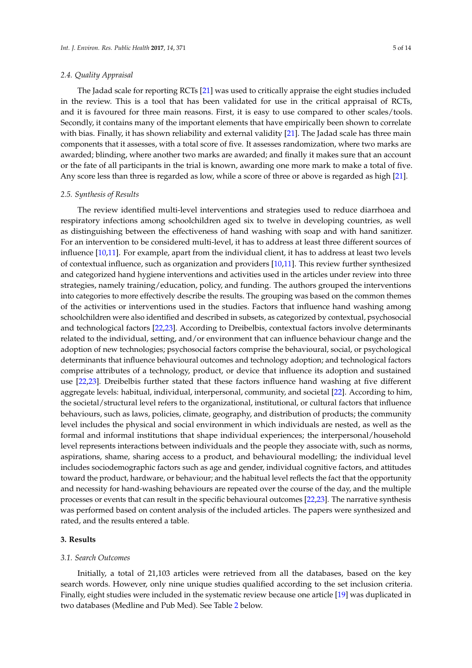### *2.4. Quality Appraisal*

The Jadad scale for reporting RCTs [\[21\]](#page-13-3) was used to critically appraise the eight studies included in the review. This is a tool that has been validated for use in the critical appraisal of RCTs, and it is favoured for three main reasons. First, it is easy to use compared to other scales/tools. Secondly, it contains many of the important elements that have empirically been shown to correlate with bias. Finally, it has shown reliability and external validity [\[21\]](#page-13-3). The Jadad scale has three main components that it assesses, with a total score of five. It assesses randomization, where two marks are awarded; blinding, where another two marks are awarded; and finally it makes sure that an account or the fate of all participants in the trial is known, awarding one more mark to make a total of five. Any score less than three is regarded as low, while a score of three or above is regarded as high [\[21\]](#page-13-3).

#### *2.5. Synthesis of Results*

The review identified multi-level interventions and strategies used to reduce diarrhoea and respiratory infections among schoolchildren aged six to twelve in developing countries, as well as distinguishing between the effectiveness of hand washing with soap and with hand sanitizer. For an intervention to be considered multi-level, it has to address at least three different sources of influence [\[10](#page-12-9)[,11\]](#page-12-10). For example, apart from the individual client, it has to address at least two levels of contextual influence, such as organization and providers [\[10,](#page-12-9)[11\]](#page-12-10). This review further synthesized and categorized hand hygiene interventions and activities used in the articles under review into three strategies, namely training/education, policy, and funding. The authors grouped the interventions into categories to more effectively describe the results. The grouping was based on the common themes of the activities or interventions used in the studies. Factors that influence hand washing among schoolchildren were also identified and described in subsets, as categorized by contextual, psychosocial and technological factors [\[22,](#page-13-4)[23\]](#page-13-5). According to Dreibelbis, contextual factors involve determinants related to the individual, setting, and/or environment that can influence behaviour change and the adoption of new technologies; psychosocial factors comprise the behavioural, social, or psychological determinants that influence behavioural outcomes and technology adoption; and technological factors comprise attributes of a technology, product, or device that influence its adoption and sustained use [\[22](#page-13-4)[,23\]](#page-13-5). Dreibelbis further stated that these factors influence hand washing at five different aggregate levels: habitual, individual, interpersonal, community, and societal [\[22\]](#page-13-4). According to him, the societal/structural level refers to the organizational, institutional, or cultural factors that influence behaviours, such as laws, policies, climate, geography, and distribution of products; the community level includes the physical and social environment in which individuals are nested, as well as the formal and informal institutions that shape individual experiences; the interpersonal/household level represents interactions between individuals and the people they associate with, such as norms, aspirations, shame, sharing access to a product, and behavioural modelling; the individual level includes sociodemographic factors such as age and gender, individual cognitive factors, and attitudes toward the product, hardware, or behaviour; and the habitual level reflects the fact that the opportunity and necessity for hand-washing behaviours are repeated over the course of the day, and the multiple processes or events that can result in the specific behavioural outcomes [\[22,](#page-13-4)[23\]](#page-13-5). The narrative synthesis was performed based on content analysis of the included articles. The papers were synthesized and rated, and the results entered a table.

## **3. Results**

#### *3.1. Search Outcomes*

Initially, a total of 21,103 articles were retrieved from all the databases, based on the key search words. However, only nine unique studies qualified according to the set inclusion criteria. Finally, eight studies were included in the systematic review because one article [\[19\]](#page-13-6) was duplicated in two databases (Medline and Pub Med). See Table [2](#page-5-0) below.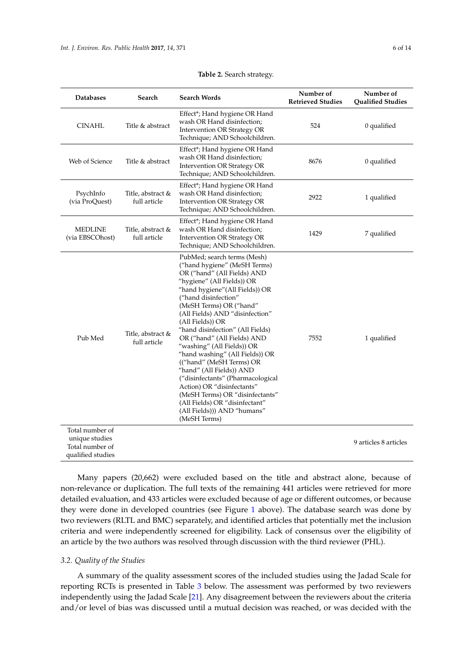<span id="page-5-0"></span>

| <b>Databases</b><br>Search                                                |                                   | <b>Search Words</b>                                                                                                                                                                                                                                                                                                                                                                                                                                                                                                                                                                                                                                      | Number of<br><b>Retrieved Studies</b> | Number of<br><b>Qualified Studies</b> |  |
|---------------------------------------------------------------------------|-----------------------------------|----------------------------------------------------------------------------------------------------------------------------------------------------------------------------------------------------------------------------------------------------------------------------------------------------------------------------------------------------------------------------------------------------------------------------------------------------------------------------------------------------------------------------------------------------------------------------------------------------------------------------------------------------------|---------------------------------------|---------------------------------------|--|
| <b>CINAHL</b><br>Title & abstract                                         |                                   | Effect*; Hand hygiene OR Hand<br>wash OR Hand disinfection;<br>Intervention OR Strategy OR<br>Technique; AND Schoolchildren.                                                                                                                                                                                                                                                                                                                                                                                                                                                                                                                             | 524                                   | 0 qualified                           |  |
| Web of Science<br>Title & abstract                                        |                                   | Effect*; Hand hygiene OR Hand<br>wash OR Hand disinfection;<br><b>Intervention OR Strategy OR</b><br>Technique; AND Schoolchildren.                                                                                                                                                                                                                                                                                                                                                                                                                                                                                                                      | 8676                                  | 0 qualified                           |  |
| PsychInfo<br>Title, abstract &<br>(via ProQuest)<br>full article          |                                   | Effect*; Hand hygiene OR Hand<br>wash OR Hand disinfection;<br>Intervention OR Strategy OR<br>Technique; AND Schoolchildren.                                                                                                                                                                                                                                                                                                                                                                                                                                                                                                                             | 2922                                  | 1 qualified                           |  |
| <b>MEDLINE</b><br>(via EBSCOhost)                                         | Title, abstract &<br>full article | Effect*; Hand hygiene OR Hand<br>wash OR Hand disinfection;<br>Intervention OR Strategy OR<br>Technique; AND Schoolchildren.                                                                                                                                                                                                                                                                                                                                                                                                                                                                                                                             | 1429                                  | 7 qualified                           |  |
| Pub Med                                                                   | Title, abstract &<br>full article | PubMed; search terms (Mesh)<br>("hand hygiene" (MeSH Terms)<br>OR ("hand" (All Fields) AND<br>"hygiene" (All Fields)) OR<br>"hand hygiene" (All Fields)) OR<br>("hand disinfection"<br>(MeSH Terms) OR ("hand"<br>(All Fields) AND "disinfection"<br>(All Fields)) OR<br>"hand disinfection" (All Fields)<br>OR ("hand" (All Fields) AND<br>"washing" (All Fields)) OR<br>"hand washing" (All Fields)) OR<br>(("hand" (MeSH Terms) OR<br>"hand" (All Fields)) AND<br>("disinfectants" (Pharmacological<br>Action) OR "disinfectants"<br>(MeSH Terms) OR "disinfectants"<br>(All Fields) OR "disinfectant"<br>(All Fields))) AND "humans"<br>(MeSH Terms) | 7552                                  | 1 qualified                           |  |
| Total number of<br>unique studies<br>Total number of<br>qualified studies |                                   |                                                                                                                                                                                                                                                                                                                                                                                                                                                                                                                                                                                                                                                          |                                       | 9 articles 8 articles                 |  |

#### **Table 2.** Search strategy.

Many papers (20,662) were excluded based on the title and abstract alone, because of non-relevance or duplication. The full texts of the remaining 441 articles were retrieved for more detailed evaluation, and 433 articles were excluded because of age or different outcomes, or because they were done in developed countries (see Figure [1](#page-2-0) above). The database search was done by two reviewers (RLTL and BMC) separately, and identified articles that potentially met the inclusion criteria and were independently screened for eligibility. Lack of consensus over the eligibility of an article by the two authors was resolved through discussion with the third reviewer (PHL).

## *3.2. Quality of the Studies*

A summary of the quality assessment scores of the included studies using the Jadad Scale for reporting RCTs is presented in Table [3](#page-6-0) below. The assessment was performed by two reviewers independently using the Jadad Scale [\[21\]](#page-13-3). Any disagreement between the reviewers about the criteria and/or level of bias was discussed until a mutual decision was reached, or was decided with the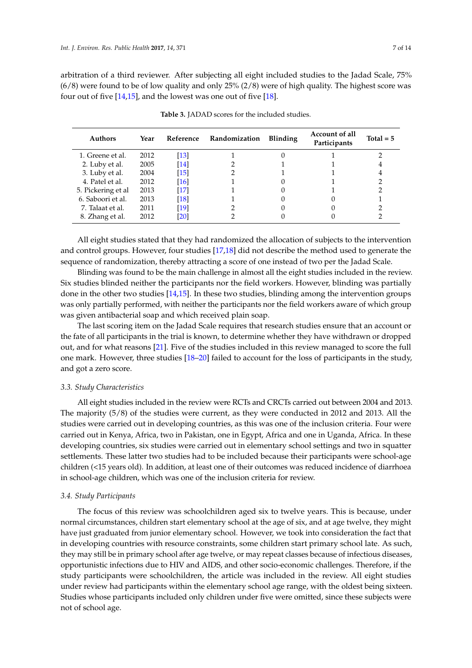arbitration of a third reviewer. After subjecting all eight included studies to the Jadad Scale, 75% (6/8) were found to be of low quality and only 25% (2/8) were of high quality. The highest score was four out of five [\[14](#page-12-15)[,15\]](#page-12-16), and the lowest was one out of five [\[18\]](#page-13-7).

<span id="page-6-0"></span>

| <b>Authors</b>     | Year | Reference          | Randomization | <b>Blinding</b> | Account of all<br>Participants | Total $= 5$ |
|--------------------|------|--------------------|---------------|-----------------|--------------------------------|-------------|
| 1. Greene et al.   | 2012 | $\lceil 13 \rceil$ |               |                 |                                |             |
| 2. Luby et al.     | 2005 | $\lceil 14 \rceil$ |               |                 |                                |             |
| 3. Luby et al.     | 2004 | [15]               |               |                 |                                |             |
| 4. Patel et al.    | 2012 | $\lceil 16 \rceil$ |               |                 |                                |             |
| 5. Pickering et al | 2013 | [17]               |               |                 |                                |             |
| 6. Saboori et al.  | 2013 | [18]               |               |                 |                                |             |
| 7. Talaat et al.   | 2011 | [19]               |               |                 |                                |             |
| 8. Zhang et al.    | 2012 | 201                |               |                 |                                |             |

**Table 3.** JADAD scores for the included studies.

All eight studies stated that they had randomized the allocation of subjects to the intervention and control groups. However, four studies [\[17](#page-12-19)[,18\]](#page-13-7) did not describe the method used to generate the sequence of randomization, thereby attracting a score of one instead of two per the Jadad Scale.

Blinding was found to be the main challenge in almost all the eight studies included in the review. Six studies blinded neither the participants nor the field workers. However, blinding was partially done in the other two studies [\[14,](#page-12-15)[15\]](#page-12-16). In these two studies, blinding among the intervention groups was only partially performed, with neither the participants nor the field workers aware of which group was given antibacterial soap and which received plain soap.

The last scoring item on the Jadad Scale requires that research studies ensure that an account or the fate of all participants in the trial is known, to determine whether they have withdrawn or dropped out, and for what reasons [\[21\]](#page-13-3). Five of the studies included in this review managed to score the full one mark. However, three studies [\[18–](#page-13-7)[20\]](#page-13-8) failed to account for the loss of participants in the study, and got a zero score.

## *3.3. Study Characteristics*

All eight studies included in the review were RCTs and CRCTs carried out between 2004 and 2013. The majority (5/8) of the studies were current, as they were conducted in 2012 and 2013. All the studies were carried out in developing countries, as this was one of the inclusion criteria. Four were carried out in Kenya, Africa, two in Pakistan, one in Egypt, Africa and one in Uganda, Africa. In these developing countries, six studies were carried out in elementary school settings and two in squatter settlements. These latter two studies had to be included because their participants were school-age children (<15 years old). In addition, at least one of their outcomes was reduced incidence of diarrhoea in school-age children, which was one of the inclusion criteria for review.

#### *3.4. Study Participants*

The focus of this review was schoolchildren aged six to twelve years. This is because, under normal circumstances, children start elementary school at the age of six, and at age twelve, they might have just graduated from junior elementary school. However, we took into consideration the fact that in developing countries with resource constraints, some children start primary school late. As such, they may still be in primary school after age twelve, or may repeat classes because of infectious diseases, opportunistic infections due to HIV and AIDS, and other socio-economic challenges. Therefore, if the study participants were schoolchildren, the article was included in the review. All eight studies under review had participants within the elementary school age range, with the oldest being sixteen. Studies whose participants included only children under five were omitted, since these subjects were not of school age.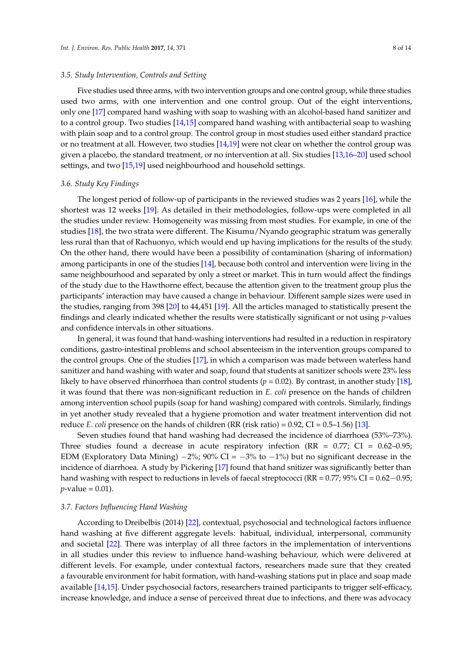#### *3.5. Study Intervention, Controls and Setting*

Five studies used three arms, with two intervention groups and one control group, while three studies used two arms, with one intervention and one control group. Out of the eight interventions, only one [\[17\]](#page-12-19) compared hand washing with soap to washing with an alcohol-based hand sanitizer and to a control group. Two studies [\[14](#page-12-15)[,15\]](#page-12-16) compared hand washing with antibacterial soap to washing with plain soap and to a control group. The control group in most studies used either standard practice or no treatment at all. However, two studies [\[14](#page-12-15)[,19\]](#page-13-6) were not clear on whether the control group was given a placebo, the standard treatment, or no intervention at all. Six studies [\[13](#page-12-17)[,16](#page-12-18)[–20\]](#page-13-8) used school settings, and two [\[15,](#page-12-16)[19\]](#page-13-6) used neighbourhood and household settings.

#### *3.6. Study Key Findings*

The longest period of follow-up of participants in the reviewed studies was 2 years [\[16\]](#page-12-18), while the shortest was 12 weeks [\[19\]](#page-13-6). As detailed in their methodologies, follow-ups were completed in all the studies under review. Homogeneity was missing from most studies. For example, in one of the studies [\[18\]](#page-13-7), the two strata were different. The Kisumu/Nyando geographic stratum was generally less rural than that of Rachuonyo, which would end up having implications for the results of the study. On the other hand, there would have been a possibility of contamination (sharing of information) among participants in one of the studies [\[14\]](#page-12-15), because both control and intervention were living in the same neighbourhood and separated by only a street or market. This in turn would affect the findings of the study due to the Hawthorne effect, because the attention given to the treatment group plus the participants' interaction may have caused a change in behaviour. Different sample sizes were used in the studies, ranging from 398 [\[20\]](#page-13-8) to 44,451 [\[19\]](#page-13-6). All the articles managed to statistically present the findings and clearly indicated whether the results were statistically significant or not using *p*-values and confidence intervals in other situations.

In general, it was found that hand-washing interventions had resulted in a reduction in respiratory conditions, gastro-intestinal problems and school absenteeism in the intervention groups compared to the control groups. One of the studies [\[17\]](#page-12-19), in which a comparison was made between waterless hand sanitizer and hand washing with water and soap, found that students at sanitizer schools were 23% less likely to have observed rhinorrhoea than control students (*p* = 0.02). By contrast, in another study [\[18\]](#page-13-7), it was found that there was non-significant reduction in *E. coli* presence on the hands of children among intervention school pupils (soap for hand washing) compared with controls. Similarly, findings in yet another study revealed that a hygiene promotion and water treatment intervention did not reduce *E. coli* presence on the hands of children (RR (risk ratio) = 0.92, CI = 0.5–1.56) [\[13\]](#page-12-17).

Seven studies found that hand washing had decreased the incidence of diarrhoea (53%–73%). Three studies found a decrease in acute respiratory infection (RR =  $0.77$ ; CI =  $0.62-0.95$ ; EDM (Exploratory Data Mining)  $-2\%$ ; 90% CI =  $-3\%$  to  $-1\%$ ) but no significant decrease in the incidence of diarrhoea. A study by Pickering [\[17\]](#page-12-19) found that hand snitizer was significantly better than hand washing with respect to reductions in levels of faecal streptococci (RR = 0.77; 95% CI = 0.62−0.95;  $p$ -value = 0.01).

## *3.7. Factors Influencing Hand Washing*

According to Dreibelbis (2014) [\[22\]](#page-13-4), contextual, psychosocial and technological factors influence hand washing at five different aggregate levels: habitual, individual, interpersonal, community and societal [\[22\]](#page-13-4). There was interplay of all three factors in the implementation of interventions in all studies under this review to influence hand-washing behaviour, which were delivered at different levels. For example, under contextual factors, researchers made sure that they created a favourable environment for habit formation, with hand-washing stations put in place and soap made available [\[14](#page-12-15)[,15\]](#page-12-16). Under psychosocial factors, researchers trained participants to trigger self-efficacy, increase knowledge, and induce a sense of perceived threat due to infections, and there was advocacy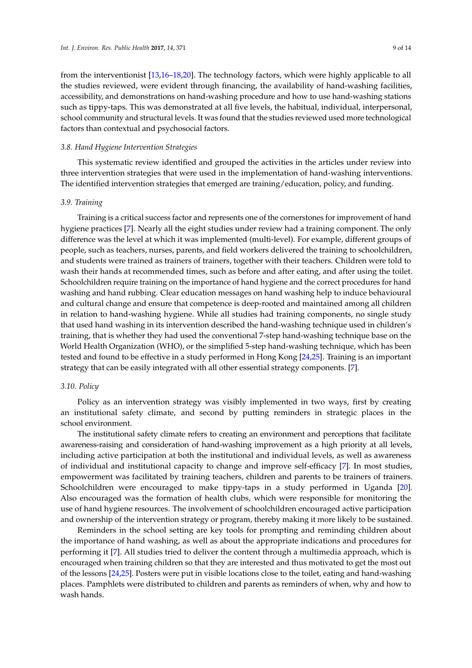from the interventionist [\[13](#page-12-17)[,16](#page-12-18)[–18](#page-13-7)[,20\]](#page-13-8). The technology factors, which were highly applicable to all the studies reviewed, were evident through financing, the availability of hand-washing facilities, accessibility, and demonstrations on hand-washing procedure and how to use hand-washing stations such as tippy-taps. This was demonstrated at all five levels, the habitual, individual, interpersonal, school community and structural levels. It was found that the studies reviewed used more technological factors than contextual and psychosocial factors.

## *3.8. Hand Hygiene Intervention Strategies*

This systematic review identified and grouped the activities in the articles under review into three intervention strategies that were used in the implementation of hand-washing interventions. The identified intervention strategies that emerged are training/education, policy, and funding.

## *3.9. Training*

Training is a critical success factor and represents one of the cornerstones for improvement of hand hygiene practices [\[7\]](#page-12-6). Nearly all the eight studies under review had a training component. The only difference was the level at which it was implemented (multi-level). For example, different groups of people, such as teachers, nurses, parents, and field workers delivered the training to schoolchildren, and students were trained as trainers of trainers, together with their teachers. Children were told to wash their hands at recommended times, such as before and after eating, and after using the toilet. Schoolchildren require training on the importance of hand hygiene and the correct procedures for hand washing and hand rubbing. Clear education messages on hand washing help to induce behavioural and cultural change and ensure that competence is deep-rooted and maintained among all children in relation to hand-washing hygiene. While all studies had training components, no single study that used hand washing in its intervention described the hand-washing technique used in children's training, that is whether they had used the conventional 7-step hand-washing technique base on the World Health Organization (WHO), or the simplified 5-step hand-washing technique, which has been tested and found to be effective in a study performed in Hong Kong [\[24](#page-13-9)[,25\]](#page-13-10). Training is an important strategy that can be easily integrated with all other essential strategy components. [\[7\]](#page-12-6).

#### *3.10. Policy*

Policy as an intervention strategy was visibly implemented in two ways, first by creating an institutional safety climate, and second by putting reminders in strategic places in the school environment.

The institutional safety climate refers to creating an environment and perceptions that facilitate awareness-raising and consideration of hand-washing improvement as a high priority at all levels, including active participation at both the institutional and individual levels, as well as awareness of individual and institutional capacity to change and improve self-efficacy [\[7\]](#page-12-6). In most studies, empowerment was facilitated by training teachers, children and parents to be trainers of trainers. Schoolchildren were encouraged to make tippy-taps in a study performed in Uganda [\[20\]](#page-13-8). Also encouraged was the formation of health clubs, which were responsible for monitoring the use of hand hygiene resources. The involvement of schoolchildren encouraged active participation and ownership of the intervention strategy or program, thereby making it more likely to be sustained.

Reminders in the school setting are key tools for prompting and reminding children about the importance of hand washing, as well as about the appropriate indications and procedures for performing it [\[7\]](#page-12-6). All studies tried to deliver the content through a multimedia approach, which is encouraged when training children so that they are interested and thus motivated to get the most out of the lessons [\[24,](#page-13-9)[25\]](#page-13-10). Posters were put in visible locations close to the toilet, eating and hand-washing places. Pamphlets were distributed to children and parents as reminders of when, why and how to wash hands.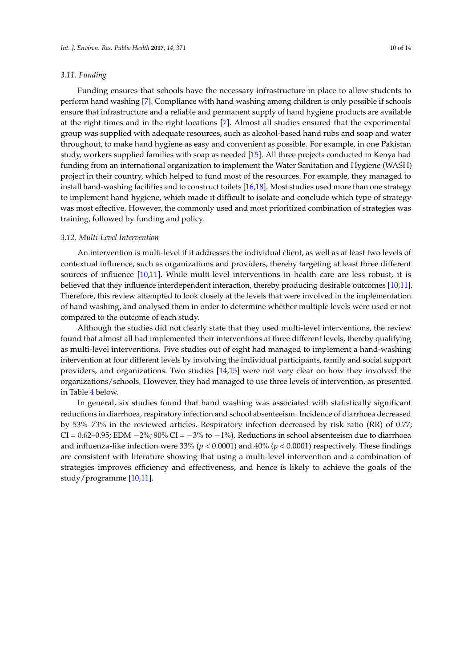## *3.11. Funding*

Funding ensures that schools have the necessary infrastructure in place to allow students to perform hand washing [\[7\]](#page-12-6). Compliance with hand washing among children is only possible if schools ensure that infrastructure and a reliable and permanent supply of hand hygiene products are available at the right times and in the right locations [\[7\]](#page-12-6). Almost all studies ensured that the experimental group was supplied with adequate resources, such as alcohol-based hand rubs and soap and water throughout, to make hand hygiene as easy and convenient as possible. For example, in one Pakistan study, workers supplied families with soap as needed [\[15\]](#page-12-16). All three projects conducted in Kenya had funding from an international organization to implement the Water Sanitation and Hygiene (WASH) project in their country, which helped to fund most of the resources. For example, they managed to install hand-washing facilities and to construct toilets [\[16](#page-12-18)[,18\]](#page-13-7). Most studies used more than one strategy to implement hand hygiene, which made it difficult to isolate and conclude which type of strategy was most effective. However, the commonly used and most prioritized combination of strategies was training, followed by funding and policy.

#### *3.12. Multi-Level Intervention*

An intervention is multi-level if it addresses the individual client, as well as at least two levels of contextual influence, such as organizations and providers, thereby targeting at least three different sources of influence [\[10,](#page-12-9)[11\]](#page-12-10). While multi-level interventions in health care are less robust, it is believed that they influence interdependent interaction, thereby producing desirable outcomes [\[10](#page-12-9)[,11\]](#page-12-10). Therefore, this review attempted to look closely at the levels that were involved in the implementation of hand washing, and analysed them in order to determine whether multiple levels were used or not compared to the outcome of each study.

Although the studies did not clearly state that they used multi-level interventions, the review found that almost all had implemented their interventions at three different levels, thereby qualifying as multi-level interventions. Five studies out of eight had managed to implement a hand-washing intervention at four different levels by involving the individual participants, family and social support providers, and organizations. Two studies [\[14,](#page-12-15)[15\]](#page-12-16) were not very clear on how they involved the organizations/schools. However, they had managed to use three levels of intervention, as presented in Table [4](#page-10-0) below.

In general, six studies found that hand washing was associated with statistically significant reductions in diarrhoea, respiratory infection and school absenteeism. Incidence of diarrhoea decreased by 53%–73% in the reviewed articles. Respiratory infection decreased by risk ratio (RR) of 0.77; CI =  $0.62-0.95$ ; EDM  $-2\%$ ;  $90\%$  CI =  $-3\%$  to  $-1\%$ ). Reductions in school absenteeism due to diarrhoea and influenza-like infection were 33% (*p* < 0.0001) and 40% (*p* < 0.0001) respectively. These findings are consistent with literature showing that using a multi-level intervention and a combination of strategies improves efficiency and effectiveness, and hence is likely to achieve the goals of the study/programme [\[10](#page-12-9)[,11\]](#page-12-10).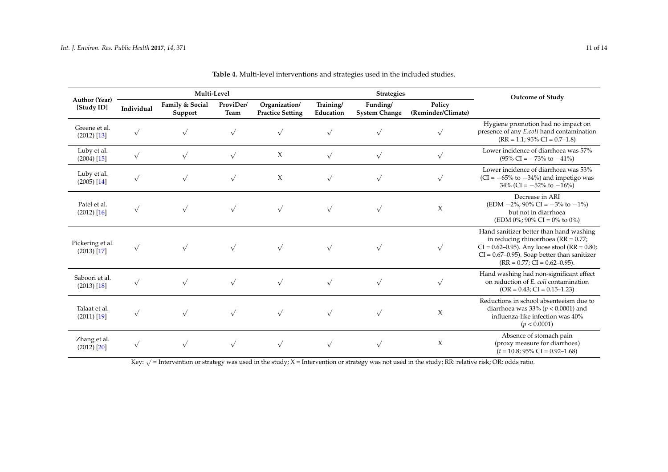|                                   | Multi-Level |                            |                          |                                          | <b>Strategies</b>      |                                  |                              | <b>Outcome of Study</b>                                                                                                                                                                                                   |
|-----------------------------------|-------------|----------------------------|--------------------------|------------------------------------------|------------------------|----------------------------------|------------------------------|---------------------------------------------------------------------------------------------------------------------------------------------------------------------------------------------------------------------------|
| Author (Year)<br>[Study ID]       | Individual  | Family & Social<br>Support | ProviDer/<br><b>Team</b> | Organization/<br><b>Practice Setting</b> | Training/<br>Education | Funding/<br><b>System Change</b> | Policy<br>(Reminder/Climate) |                                                                                                                                                                                                                           |
| Greene et al.<br>$(2012)$ [13]    |             | $\sqrt{ }$                 | $\sqrt{ }$               | $\sqrt{ }$                               | $\sqrt{ }$             |                                  | $\sqrt{}$                    | Hygiene promotion had no impact on<br>presence of any E.coli hand contamination<br>$(RR = 1.1; 95\% CI = 0.7-1.8)$                                                                                                        |
| Luby et al.<br>$(2004)$ [15]      | $\sqrt{ }$  | $\sqrt{ }$                 | $\sqrt{}$                | X                                        | $\sqrt{}$              | $\sqrt{}$                        | $\sqrt{}$                    | Lower incidence of diarrhoea was 57%<br>$(95\% \text{ CI} = -73\% \text{ to } -41\%)$                                                                                                                                     |
| Luby et al.<br>$(2005)$ [14]      | $\sqrt{ }$  | $\sqrt{ }$                 | $\sqrt{ }$               | X                                        | $\sqrt{ }$             | $\sqrt{ }$                       | $\sqrt{ }$                   | Lower incidence of diarrhoea was 53%<br>$(CI = -65\%$ to $-34\%)$ and impetigo was<br>$34\%$ (CI = $-52\%$ to $-16\%$ )                                                                                                   |
| Patel et al.<br>$(2012)$ [16]     | $\sqrt{ }$  | $\sqrt{}$                  | $\sqrt{ }$               | $\sqrt{ }$                               | $\sqrt{ }$             | $\sqrt{ }$                       | X                            | Decrease in ARI<br>$(EDM - 2\%; 90\% CI = -3\% to -1\%)$<br>but not in diarrhoea<br>(EDM 0%; 90% CI = 0% to 0%)                                                                                                           |
| Pickering et al.<br>$(2013)$ [17] | $\sqrt{}$   |                            | $\sqrt{ }$               |                                          |                        |                                  | $\sqrt{}$                    | Hand sanitizer better than hand washing<br>in reducing rhinorrhoea (RR = 0.77;<br>$CI = 0.62 - 0.95$ . Any loose stool (RR = 0.80;<br>$CI = 0.67 - 0.95$ . Soap better than sanitizer<br>$(RR = 0.77; CI = 0.62 - 0.95).$ |
| Saboori et al.<br>$(2013)$ [18]   | $\sqrt{ }$  |                            | $\sqrt{ }$               | $\sqrt{ }$                               | $\sqrt{ }$             |                                  | $\sqrt{}$                    | Hand washing had non-significant effect<br>on reduction of E. coli contamination<br>$(OR = 0.43; CI = 0.15-1.23)$                                                                                                         |
| Talaat et al.<br>$(2011)$ [19]    | $\sqrt{}$   | $\sqrt{ }$                 | $\sqrt{ }$               | $\sqrt{ }$                               | $\sqrt{ }$             | $\sqrt{ }$                       | X                            | Reductions in school absenteeism due to<br>diarrhoea was 33% ( $p < 0.0001$ ) and<br>influenza-like infection was 40%<br>(p < 0.0001)                                                                                     |
| Zhang et al.<br>$(2012)$ [20]     |             |                            | $\sqrt{ }$               | $\sqrt{ }$                               | $\sqrt{ }$             | $\sqrt{ }$                       | X                            | Absence of stomach pain<br>(proxy measure for diarrhoea)<br>$(t = 10.8; 95\% \text{ CI} = 0.92 - 1.68)$                                                                                                                   |

**Table 4.** Multi-level interventions and strategies used in the included studies.

<span id="page-10-0"></span>Key: <sup>√</sup> = Intervention or strategy was used in the study; X = Intervention or strategy was not used in the study; RR: relative risk; OR: odds ratio.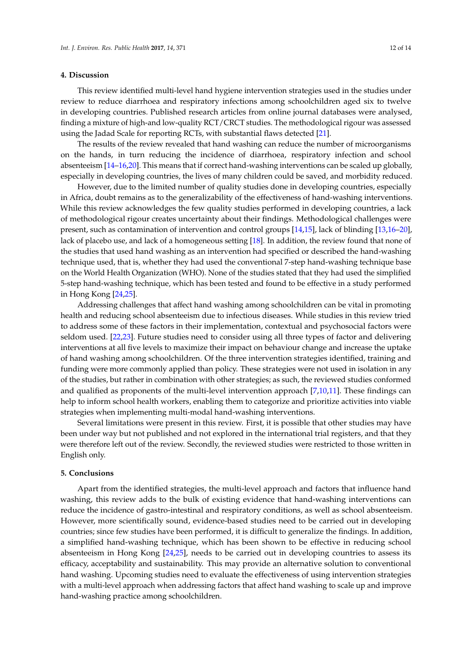## **4. Discussion**

This review identified multi-level hand hygiene intervention strategies used in the studies under review to reduce diarrhoea and respiratory infections among schoolchildren aged six to twelve in developing countries. Published research articles from online journal databases were analysed, finding a mixture of high-and low-quality RCT/CRCT studies. The methodological rigour was assessed using the Jadad Scale for reporting RCTs, with substantial flaws detected [\[21\]](#page-13-3).

The results of the review revealed that hand washing can reduce the number of microorganisms on the hands, in turn reducing the incidence of diarrhoea, respiratory infection and school absenteeism [\[14–](#page-12-15)[16,](#page-12-18)[20\]](#page-13-8). This means that if correct hand-washing interventions can be scaled up globally, especially in developing countries, the lives of many children could be saved, and morbidity reduced.

However, due to the limited number of quality studies done in developing countries, especially in Africa, doubt remains as to the generalizability of the effectiveness of hand-washing interventions. While this review acknowledges the few quality studies performed in developing countries, a lack of methodological rigour creates uncertainty about their findings. Methodological challenges were present, such as contamination of intervention and control groups [\[14](#page-12-15)[,15\]](#page-12-16), lack of blinding [\[13](#page-12-17)[,16](#page-12-18)[–20\]](#page-13-8), lack of placebo use, and lack of a homogeneous setting [\[18\]](#page-13-7). In addition, the review found that none of the studies that used hand washing as an intervention had specified or described the hand-washing technique used, that is, whether they had used the conventional 7-step hand-washing technique base on the World Health Organization (WHO). None of the studies stated that they had used the simplified 5-step hand-washing technique, which has been tested and found to be effective in a study performed in Hong Kong [\[24,](#page-13-9)[25\]](#page-13-10).

Addressing challenges that affect hand washing among schoolchildren can be vital in promoting health and reducing school absenteeism due to infectious diseases. While studies in this review tried to address some of these factors in their implementation, contextual and psychosocial factors were seldom used. [\[22](#page-13-4)[,23\]](#page-13-5). Future studies need to consider using all three types of factor and delivering interventions at all five levels to maximize their impact on behaviour change and increase the uptake of hand washing among schoolchildren. Of the three intervention strategies identified, training and funding were more commonly applied than policy. These strategies were not used in isolation in any of the studies, but rather in combination with other strategies; as such, the reviewed studies conformed and qualified as proponents of the multi-level intervention approach [\[7](#page-12-6)[,10](#page-12-9)[,11\]](#page-12-10). These findings can help to inform school health workers, enabling them to categorize and prioritize activities into viable strategies when implementing multi-modal hand-washing interventions.

Several limitations were present in this review. First, it is possible that other studies may have been under way but not published and not explored in the international trial registers, and that they were therefore left out of the review. Secondly, the reviewed studies were restricted to those written in English only.

#### **5. Conclusions**

Apart from the identified strategies, the multi-level approach and factors that influence hand washing, this review adds to the bulk of existing evidence that hand-washing interventions can reduce the incidence of gastro-intestinal and respiratory conditions, as well as school absenteeism. However, more scientifically sound, evidence-based studies need to be carried out in developing countries; since few studies have been performed, it is difficult to generalize the findings. In addition, a simplified hand-washing technique, which has been shown to be effective in reducing school absenteeism in Hong Kong [\[24](#page-13-9)[,25\]](#page-13-10), needs to be carried out in developing countries to assess its efficacy, acceptability and sustainability. This may provide an alternative solution to conventional hand washing. Upcoming studies need to evaluate the effectiveness of using intervention strategies with a multi-level approach when addressing factors that affect hand washing to scale up and improve hand-washing practice among schoolchildren.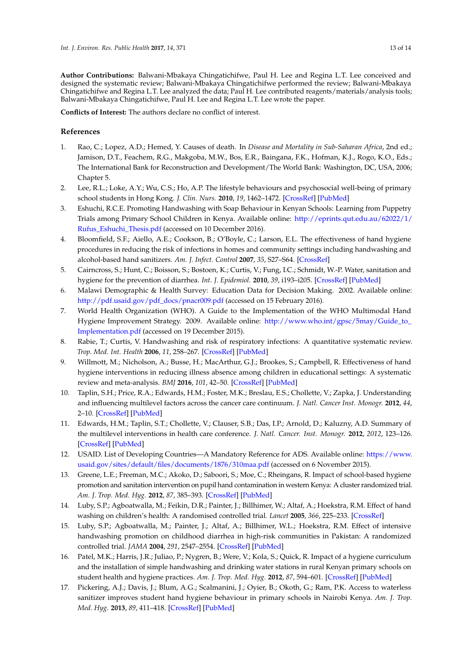**Author Contributions:** Balwani-Mbakaya Chingatichifwe, Paul H. Lee and Regina L.T. Lee conceived and designed the systematic review; Balwani-Mbakaya Chingatichifwe performed the review; Balwani-Mbakaya Chingatichifwe and Regina L.T. Lee analyzed the data; Paul H. Lee contributed reagents/materials/analysis tools; Balwani-Mbakaya Chingatichifwe, Paul H. Lee and Regina L.T. Lee wrote the paper.

**Conflicts of Interest:** The authors declare no conflict of interest.

# **References**

- <span id="page-12-0"></span>1. Rao, C.; Lopez, A.D.; Hemed, Y. Causes of death. In *Disease and Mortality in Sub-Saharan Africa*, 2nd ed.; Jamison, D.T., Feachem, R.G., Makgoba, M.W., Bos, E.R., Baingana, F.K., Hofman, K.J., Rogo, K.O., Eds.; The International Bank for Reconstruction and Development/The World Bank: Washington, DC, USA, 2006; Chapter 5.
- <span id="page-12-1"></span>2. Lee, R.L.; Loke, A.Y.; Wu, C.S.; Ho, A.P. The lifestyle behaviours and psychosocial well-being of primary school students in Hong Kong. *J. Clin. Nurs.* **2010**, *19*, 1462–1472. [\[CrossRef\]](http://dx.doi.org/10.1111/j.1365-2702.2009.03057.x) [\[PubMed\]](http://www.ncbi.nlm.nih.gov/pubmed/20500356)
- <span id="page-12-2"></span>3. Eshuchi, R.C.E. Promoting Handwashing with Soap Behaviour in Kenyan Schools: Learning from Puppetry Trials among Primary School Children in Kenya. Available online: [http://eprints.qut.edu.au/62022/1/](http://eprints.qut.edu.au/62022/1/Rufus_Eshuchi_Thesis.pdf) [Rufus\\_Eshuchi\\_Thesis.pdf](http://eprints.qut.edu.au/62022/1/Rufus_Eshuchi_Thesis.pdf) (accessed on 10 December 2016).
- <span id="page-12-3"></span>4. Bloomfield, S.F.; Aiello, A.E.; Cookson, B.; O'Boyle, C.; Larson, E.L. The effectiveness of hand hygiene procedures in reducing the risk of infections in homes and community settings including handwashing and alcohol-based hand sanitizers. *Am. J. Infect. Control* **2007**, *35*, S27–S64. [\[CrossRef\]](http://dx.doi.org/10.1016/j.ajic.2007.07.001)
- <span id="page-12-12"></span><span id="page-12-4"></span>5. Cairncross, S.; Hunt, C.; Boisson, S.; Bostoen, K.; Curtis, V.; Fung, I.C.; Schmidt, W.-P. Water, sanitation and hygiene for the prevention of diarrhea. *Int. J. Epidemiol.* **2010**, *39*, i193–i205. [\[CrossRef\]](http://dx.doi.org/10.1093/ije/dyq035) [\[PubMed\]](http://www.ncbi.nlm.nih.gov/pubmed/20348121)
- <span id="page-12-5"></span>6. Malawi Demographic & Health Survey: Education Data for Decision Making. 2002. Available online: [http://pdf.usaid.gov/pdf\\_docs/pnacr009.pdf](http://pdf.usaid.gov/pdf_docs/pnacr009.pdf) (accessed on 15 February 2016).
- <span id="page-12-13"></span><span id="page-12-6"></span>7. World Health Organization (WHO). A Guide to the Implementation of the WHO Multimodal Hand Hygiene Improvement Strategy. 2009. Available online: [http://www.who.int/gpsc/5may/Guide\\_to\\_](http://www.who.int/gpsc/5may/Guide_to_Implementation.pdf) [Implementation.pdf](http://www.who.int/gpsc/5may/Guide_to_Implementation.pdf) (accessed on 19 December 2015).
- <span id="page-12-14"></span><span id="page-12-7"></span>8. Rabie, T.; Curtis, V. Handwashing and risk of respiratory infections: A quantitative systematic review. *Trop. Med. Int. Health* **2006**, *11*, 258–267. [\[CrossRef\]](http://dx.doi.org/10.1111/j.1365-3156.2006.01568.x) [\[PubMed\]](http://www.ncbi.nlm.nih.gov/pubmed/16553905)
- <span id="page-12-8"></span>9. Willmott, M.; Nicholson, A.; Busse, H.; MacArthur, G.J.; Brookes, S.; Campbell, R. Effectiveness of hand hygiene interventions in reducing illness absence among children in educational settings: A systematic review and meta-analysis. *BMJ* **2016**, *101*, 42–50. [\[CrossRef\]](http://dx.doi.org/10.1136/archdischild-2015-308875) [\[PubMed\]](http://www.ncbi.nlm.nih.gov/pubmed/26471110)
- <span id="page-12-9"></span>10. Taplin, S.H.; Price, R.A.; Edwards, H.M.; Foster, M.K.; Breslau, E.S.; Chollette, V.; Zapka, J. Understanding and influencing multilevel factors across the cancer care continuum. *J. Natl. Cancer Inst. Monogr.* **2012**, *44*, 2–10. [\[CrossRef\]](http://dx.doi.org/10.1093/jncimonographs/lgs008) [\[PubMed\]](http://www.ncbi.nlm.nih.gov/pubmed/22623590)
- <span id="page-12-10"></span>11. Edwards, H.M.; Taplin, S.T.; Chollette, V.; Clauser, S.B.; Das, I.P.; Arnold, D.; Kaluzny, A.D. Summary of the multilevel interventions in health care conference. *J. Natl. Cancer. Inst. Monogr.* **2012**, *2012*, 123–126. [\[CrossRef\]](http://dx.doi.org/10.1093/jncimonographs/lgs018) [\[PubMed\]](http://www.ncbi.nlm.nih.gov/pubmed/22623605)
- <span id="page-12-11"></span>12. USAID. List of Developing Countries—A Mandatory Reference for ADS. Available online: [https://www.](https://www.usaid.gov/sites/default/files/documents/1876/310maa.pdf) [usaid.gov/sites/default/files/documents/1876/310maa.pdf](https://www.usaid.gov/sites/default/files/documents/1876/310maa.pdf) (accessed on 6 November 2015).
- <span id="page-12-17"></span>13. Greene, L.E.; Freeman, M.C.; Akoko, D.; Saboori, S.; Moe, C.; Rheingans, R. Impact of school-based hygiene promotion and sanitation intervention on pupil hand contamination in western Kenya: A cluster randomized trial. *Am. J. Trop. Med. Hyg.* **2012**, *87*, 385–393. [\[CrossRef\]](http://dx.doi.org/10.4269/ajtmh.2012.11-0633) [\[PubMed\]](http://www.ncbi.nlm.nih.gov/pubmed/22802437)
- <span id="page-12-15"></span>14. Luby, S.P.; Agboatwalla, M.; Feikin, D.R.; Painter, J.; Billhimer, W.; Altaf, A.; Hoekstra, R.M. Effect of hand washing on children's health: A randomised controlled trial. *Lancet* **2005**, *366*, 225–233. [\[CrossRef\]](http://dx.doi.org/10.1016/S0140-6736(05)66912-7)
- <span id="page-12-16"></span>15. Luby, S.P.; Agboatwalla, M.; Painter, J.; Altaf, A.; Billhimer, W.L.; Hoekstra, R.M. Effect of intensive handwashing promotion on childhood diarrhea in high-risk communities in Pakistan: A randomized controlled trial. *JAMA* **2004**, *291*, 2547–2554. [\[CrossRef\]](http://dx.doi.org/10.1001/jama.291.21.2547) [\[PubMed\]](http://www.ncbi.nlm.nih.gov/pubmed/15173145)
- <span id="page-12-18"></span>16. Patel, M.K.; Harris, J.R.; Juliao, P.; Nygren, B.; Were, V.; Kola, S.; Quick, R. Impact of a hygiene curriculum and the installation of simple handwashing and drinking water stations in rural Kenyan primary schools on student health and hygiene practices. *Am. J. Trop. Med. Hyg.* **2012**, *87*, 594–601. [\[CrossRef\]](http://dx.doi.org/10.4269/ajtmh.2012.11-0494) [\[PubMed\]](http://www.ncbi.nlm.nih.gov/pubmed/22869631)
- <span id="page-12-19"></span>17. Pickering, A.J.; Davis, J.; Blum, A.G.; Scalmanini, J.; Oyier, B.; Okoth, G.; Ram, P.K. Access to waterless sanitizer improves student hand hygiene behaviour in primary schools in Nairobi Kenya. *Am. J. Trop. Med. Hyg.* **2013**, *89*, 411–418. [\[CrossRef\]](http://dx.doi.org/10.4269/ajtmh.13-0008) [\[PubMed\]](http://www.ncbi.nlm.nih.gov/pubmed/23836575)